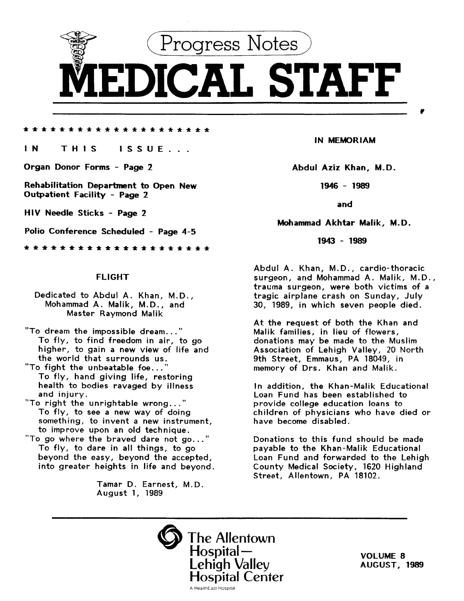

\*\*\*\*\*\*\*\*\*\*\*\*\*\*\*\*\*\*\*\*\*

### IN THIS ISSUE...

Organ Donor Forms - Page 2

Rehabilitation Department to Open New Outpatient Facility - Page 2

HIV Needle Sticks - Page 2

Polio Conference Scheduled - Page 4-5

\*\*\*\*\*\*\*\*\*\*\*\*\*\*\*\*\*\*\*\*\*

#### FLIGHT

- Dedicated to Abdul A. Khan, M.D., Mohammad A. Malik, M.D., and Master Raymond Malik
- "To dream the impossible dream..." To fly, to find freedom in air, to go higher, to gain a new view of life and the world that surrounds us.
- "To fight the unbeatable foe...' To fly, hand giving life, restoring health to bodies ravaged by illness and injury.
- "To right the unrightable wrong..." To fly, to see a new way of doing something, to invent a new instrument, to improve upon an old technique.
- "To go where the braved dare not go..." To fly, to dare in all things, to go beyond the easy, beyond the accepted, into greater heights in life and beyond.

Tamar D. Earnest, M.D. August 1, 1989

IN MEMORIAM

Abdul Aziz Khan, M.D.

1946 - 1989

and

#### Mohammad Akhtar Malik, M.D.

1943 - 1989

Abdul A. Khan, M.D., cardio-thoracic surgeon, and Mohammad A. Malik, M.D., trauma surgeon, were both victims of a tragic airplane crash on Sunday, July 30, 1989, in which seven people died.

At the request of both the Khan and Malik families, in lieu of flowers, donations may be made to the Muslim Association of Lehigh Valley, 20 North 9th Street, Emmaus, PA 18049, in memory of Drs. Khan and Malik.

In addition, the Khan-Malik Educational Loan Fund has been established to provide college education loans to children of physicians who have died or have become disabled.

Donations to this fund should be made payable to the Khan-Malik Educational Loan Fund and forwarded to the Lehigh County Medical Society, 1620 Highland Street, Allentown, PA 18102.

The Allentown Hospital—<br>Lehigh Valley Hospital Center A Health East Hospital

VOLUME 8 AUGUST, 1989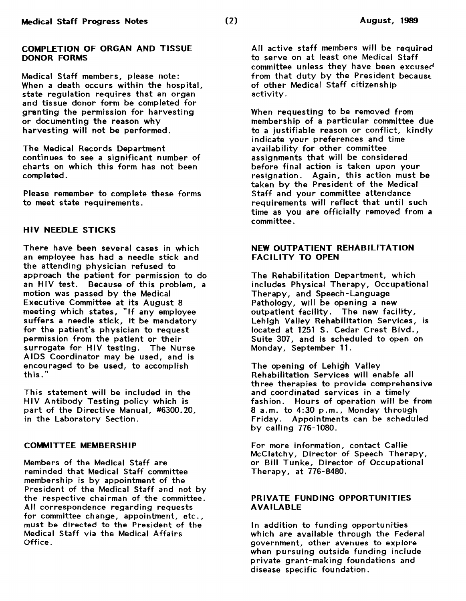### COMPLETION OF ORGAN AND TISSUE DONOR FORMS

Medical Staff members, please note: When a death occurs within the hospital, state regulation requires that an organ and tissue donor form be completed for granting the permission for harvesting or documenting the reason why harvesting will not be performed.

The Medical Records Department continues to see a significant number of charts on which this form has not been completed.

Please remember to complete these forms to meet state requirements.

## HIV NEEDLE STICKS

There have been several cases in which an employee has had a needle stick and the attending physician refused to approach the patient for permission to do an HIV test. Because of this problem, a motion was passed by the Medical Executive Committee at its August 8 meeting which states, "If any employee suffers a needle stick, it be mandatory for the patient's physician to request permission from the patient or their surrogate for HIV testing. The Nurse AIDS Coordinator may be used, and is encouraged to be used, to accomplish this."

This statement will be included in the HIV Antibody Testing policy which is part of the Directive Manual, #6300. 20, in the Laboratory Section.

### COMMITTEE MEMBERSHIP

Members of the Medical Staff are reminded that Medical Staff committee membership is by appointment of the President of the Medical Staff and not by the respective chairman of the committee. All correspondence regarding requests for committee change, appointment, etc., must be directed to the President of the Medical Staff via the Medical Affairs Office.

All active staff members will be required to serve on at least one Medical Staff committee unless they have been excuser' from that duty by the President because of other Medical Staff citizenship activity.

When requesting to be removed from membership of a particular committee due to a justifiable reason or conflict, kindly indicate your preferences and time availability for other committee assignments that will be considered before final action is taken upon your resignation. Again, this action must be taken by the President of the Medical Staff and your committee attendance requirements will reflect that until such time as you are officially removed from a committee.

# NEW OUTPATIENT REHABILITATION FACILITY TO OPEN

The Rehabilitation Department, which includes Physical Therapy, Occupational Therapy, and Speech-Language Pathology, will be opening a new outpatient facility. The new facility, Lehigh Valley Rehabilitation Services, is located at 1251 S. Cedar Crest Blvd., Suite 307, and is scheduled to open on Monday, September 11 .

The opening of Lehigh Valley Rehabilitation Services will enable all three therapies to provide comprehensive and coordinated services in a timely fashion. Hours of operation will be from 8 a.m. to 4:30 p.m., Monday through Friday. Appointments can be scheduled by calling 776-1080.

For more information, contact Callie McClatchy, Director of Speech Therapy, or Bill Tunke, Director of Occupational Therapy, at 776-8480.

### PRIVATE FUNDING OPPORTUNITIES AVAILABLE

In addition to funding opportunities which are available through the Federal government, other avenues to explore when pursuing outside funding include private grant-making foundations and disease specific foundation.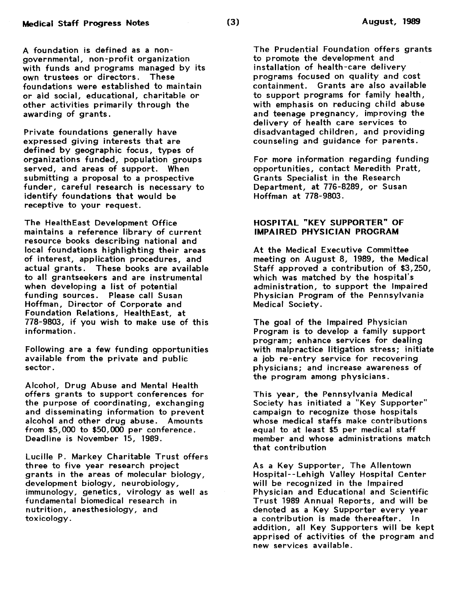A foundation is defined as a nongovernmental, non-profit organization with funds and programs managed by its<br>own trustees or directors. These own trustees or directors. foundations were established to maintain or aid social, educational, charitable or other activities primarily through the awarding of grants.

Private foundations generally have expressed giving interests that are defined by geographic focus, types of organizations funded, population groups served, and areas of support. When submitting a proposal to a prospective funder, careful research is necessary to identify foundations that would be receptive to your request.

The HealthEast Development Office maintains a reference library of current resource books describing national and local foundations highlighting their areas of interest, application procedures, and actual grants. These books are available to all grantseekers and are instrumental when developing a list of potential funding sources. Please call Susan Hoffman, Director of Corporate and Foundation Relations, HealthEast, at 778-9803, if you wish to make use of this information .

Following are a few funding opportunities available from the private and public sector.

Alcohol, Drug Abuse and Mental Health offers grants to support conferences for the purpose of coordinating, exchanging and disseminating information to prevent alcohol and other drug abuse. Amounts from \$5,000 to \$50,000 per conference. Deadline is November 15, 1989.

Lucille P. Markey Charitable Trust offers three to five year research project grants in the areas of molecular biology, development biology, neurobiology, immunology, genetics, virology as well as fundamental biomedical research in nutrition, anesthesiology, and toxicology.

The Prudential Foundation offers grants to promote the development and installation of health-care delivery programs focused on quality and cost containment. Grants are also available to support programs for family health, with emphasis on reducing child abuse and teenage pregnancy, improving the delivery of health care services to disadvantaged children, and providing counseling and guidance for parents.

For more information regarding funding opportunities, contact Meredith Pratt, Grants Specialist in the Research Department, at 776-8289, or Susan Hoffman at 778-9803.

# HOSPITAL "KEY SUPPORTER" OF IMPAIRED PHYSICIAN PROGRAM

At the Medical Executive Committee meeting on August 8, 1989, the Medical Staff approved a contribution of \$3,250, which was matched by the hospital's administration, to support the Impaired Physician Program of the Pennsylvania Medical Society.

The goal of the Impaired Physician Program is to develop a family support program; enhance services for dealing with malpractice litigation stress; initiate a job re-entry service for recovering physicians; and increase awareness of the program among physicians.

This year, the Pennsylvania Medical Society has initiated a "Key Supporter" campaign to recognize those hospitals whose medical staffs make contributions equal to at least \$5 per medical staff member and whose administrations match that contribution

As a Key Supporter, The Allentown Hospital--Lehigh Valley Hospital Center will be recognized in the Impaired Physician and Educational and Scientific Trust 1989 Annual Reports, and will be denoted as a Key Supporter every year a contribution is made thereafter. In addition, all Key Supporters will be kept apprised of activities of the program and new services available.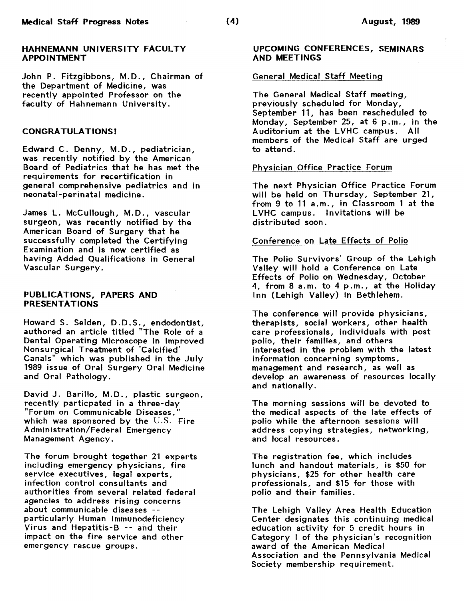### HAHNEMANN UNIVERSITY FACULTY APPOINTMENT

John P. Fitzgibbons, M.D., Chairman of the Department of Medicine, was recently appointed Professor on the faculty of Hahnemann University.

### CONGRATULATIONS!

Edward C. Denny, M.D., pediatrician, was recently notified by the American Board of Pediatrics that he has met the requirements for recertification in general comprehensive pediatrics and in neonatal-perinatal medicine.

James L. McCullough, M.D., vascular surgeon, was recently notified by the American Board of Surgery that he successfully completed the Certifying Examination and is now certified as having Added Qualifications in General Vascular Surgery.

### PUBLICATIONS, PAPERS AND PRESENTATIONS

Howard S. Selden, D.D.S., endodontist, authored an article titled "The Role of a Dental Operating Microscope in Improved Nonsurgical Treatment of 'Calcified' Canals" which was published in the July 1989 issue of Oral Surgery Oral Medicine and Oral Pathology.

David J. Barillo, M.D., plastic surgeon, recently particpated in a three-day "Forum on Communicable Diseases, which was sponsored by the U.S. Fire Administration/Federal Emergency Management Agency.

The forum brought together 21 experts including emergency physicians, fire service executives, legal experts, infection control consultants and authorities from several related federal agencies to address rising concerns about communicable diseases - particularly Human Immunodeficiency Virus and Hepatitis-B -- and their impact on the fire service and other emergency rescue groups.

### UPCOMING CONFERENCES, SEMINARS AND MEETINGS

### General Medical Staff Meeting

The General Medical Staff meeting, previously scheduled for Monday, September 11, has been rescheduled to Monday, September 25, at 6 p.m. , in the Auditorium at the LVHC campus. All members of the Medical Staff are urged to attend.

## Physician Office Practice Forum

The next Physician Office Practice Forum will be held on Thursday, September 21, from 9 to 11 a.m., in Classroom 1 at the LVHC campus. Invitations will be distributed soon.

### Conference on Late Effects of Polio

The Polio Survivors' Group of the Lehigh Valley will hold a Conference on Late Effects of Polio on Wednesday, October 4, from 8 a.m. to 4 p.m., at the Holiday Inn (Lehigh Valley) in Bethlehem.

The conference will provide physicians, therapists, social workers, other health care professionals, individuals with post polio, their families, and others interested in the problem with the latest information concerning symptoms, management and research, as well as develop an awareness of resources locally and nationally.

The morning sessions will be devoted to the medical aspects of the late effects of polio while the afternoon sessions will address copying strategies, networking, and local resources.

The registration fee, which includes lunch and handout materials, is \$50 for physicians, \$25 for other health care professionals, and \$15 for those with polio and their families.

The Lehigh Valley Area Health Education Center designates this continuing medical education activity for 5 credit hours in Category I of the physician's recognition award of the American Medical Association and the Pennsylvania Medical Society membership requirement.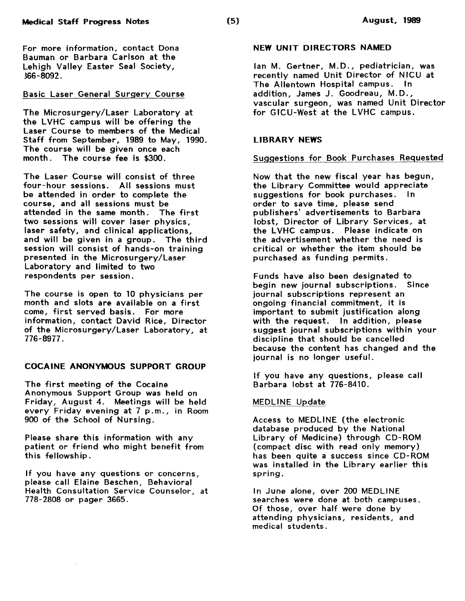For more information, contact Dona Bauman or Barbara Carlson at the Lehigh Valley Easter Seal Society, 366-8092.

# Basic Laser General Surgery Course

The Microsurgery/Laser Laboratory at the LVHC campus will be offering the Laser Course to members of the Medical Staff from September, 1989 to May, 1990. The course will be given once each month. The course fee is \$300.

The Laser Course will consist of three four-hour sessions. All sessions must be attended in order to complete the course, and all sessions must be attended in the same month. The first two sessions will cover laser physics, laser safety, and clinical applications, and will be given in a group. The third session will consist of hands-on training presented in the Microsurgery/Laser Laboratory and limited to two respondents per session.

The course is open to 10 physicians per month and slots are available on a first come, first served basis. For more information, contact David Rice, Director of the Microsurgery/Laser Laboratory, at 776-8977.

## COCAINE ANONYMOUS SUPPORT GROUP

The first meeting of the Cocaine Anonymous Support Group was held on Friday, August 4. Meetings will be held every Friday evening at 7 p.m., in Room 900 of the School of Nursing.

Please share this information with any patient or friend who might benefit from this fellowship.

If you have any questions or concerns, please call Elaine Beschen, Behavioral Health Consultation Service Counselor, at 778-2808 or pager 3665.

## NEW UNIT DIRECTORS NAMED

Jan M. Gertner, M.D., pediatrician, was recently named Unit Director of NICU at The Allentown Hospital campus. In addition, James J. Goodreau, M.D., vascular surgeon, was named Unit Director for GICU-West at the LVHC campus.

## LIBRARY NEWS

#### Suggestions for Book Purchases Requested

Now that the new fiscal year has begun, the Library Committee would appreciate suggestions for book purchases. In order to save time, please send publishers' advertisements to Barbara Jobst, Director of Library Services, at the LVHC campus. Please indicate on the advertisement whether the need is critical or whether the item should be purchased as funding permits.

Funds have also been designated to begin new journal subscriptions. Since journal subscriptions represent an ongoing financial commitment, it is important to submit justification along with the request. In addition, please suggest journal subscriptions within your discipline that should be cancelled because the content has changed and the journal is no longer useful.

If you have any questions, please call Barbara Jobst at 776-8410.

### MEDLINE Update

Access to MEDLINE (the electronic database produced by the National Library of Medicine) through CD-ROM (compact disc with read only memory) has been quite a success since CD-ROM was installed in the Library earlier this spring.

In June alone, over 200 MEDLINE searches were done at both campuses. Of those, over half were done by attending physicians, residents, and medical students.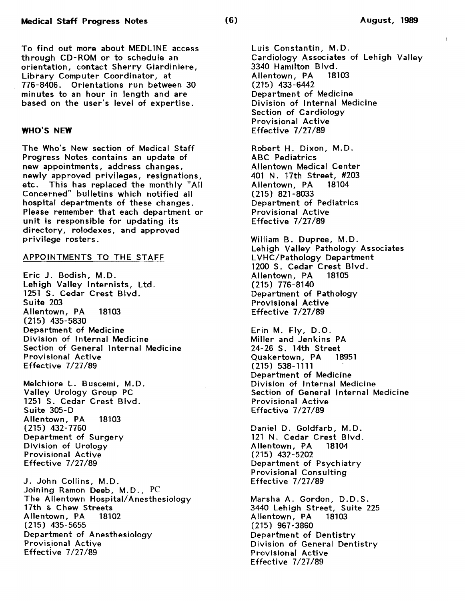To find out more about MEDLINE access through CD-ROM or to schedule an orientation, contact Sherry Giardiniere, Library Computer Coordinator, at 776-8406. Orientations run between 30 minutes to an hour in length and are based on the user's level of expertise.

### WHO'S NEW

The Who's New section of Medical Staff Progress Notes contains an update of new appointments, address changes, newly approved privileges, resignations, etc. This has replaced the monthly "All Concerned" bulletins which notified all hospital departments of these changes. Please remember that each department or unit is responsible for updating its directory, rolodexes, and approved privilege rosters.

#### APPOINTMENTS TO THE STAFF

Eric J. Bodish, M.D. Lehigh Valley Internists, Ltd. 1251 S. Cedar Crest Blvd. Suite 203 Allentown, PA 18103 (215) 435-5830 Department of Medicine Division of Internal Medicine Section of General Internal Medicine Provisional Active Effective 7/27/89

Melchiore L. Buscemi, M.D. Valley Urology Group PC 1251 S. Cedar Crest Blvd. Suite 305-D Allentown, PA 18103 (215) 432-7760 Department of Surgery Division of Urology Provisional Active Effective 7/27/89

J. John Collins, M.D. Joining Ramon Deeb, M.D., PC The Allentown Hospital/ Anesthesiology 17th & Chew Streets<br>Allentown, PA 18102 Allentown, PA (215) 435-5655 Department of Anesthesiology Provisional Active Effective 7/27/89

Luis Constantin, M.D. Cardiology Associates of Lehigh Valley 3340 Hamilton Blvd. Allentown, PA (215) 433-6442 Department of Medicine Division of Internal Medicine Section of Cardiology Provisional Active Effective 7/27/89

Robert H. Dixon, M.D. ABC Pediatrics Allentown Medical Center 401 N. 17th Street, #203 Allentown, PA 18104 (215) 821-8033 Department of Pediatrics Provisional Active Effective 7/27/89

William B. Dupree, M.D. Lehigh Valley Pathology Associates LVHC/Pathology Department 1200 S. Cedar Crest Blvd.<br>Allentown, PA 18105 Allentown, PA (215) 776-8140 Department of Pathology Provisional Active Effective 7/27/89

Erin M. Fly, D.O. Miller and Jenkins PA 24-26 S. 14th Street<br>Ouakertown, PA 18951 Quakertown, PA (215) 538-1111 Department of Medicine Division of Internal Medicine Section of General Internal Medicine Provisional Active Effective 7/27/89

Daniel D. Goldfarb, M.D. 121 N. Cedar Crest Blvd.<br>Allentown, PA 18104 Allentown, PA (215) 432-5202 Department of Psychiatry Provisional Consulting Effective 7/27/89

Marsha A. Gordon, D.D.S. 3440 Lehigh Street, Suite 225 Allentown, PA (215) 967-3860 Department of Dentistry Division of General Dentistry Provisional Active Effective 7/27/89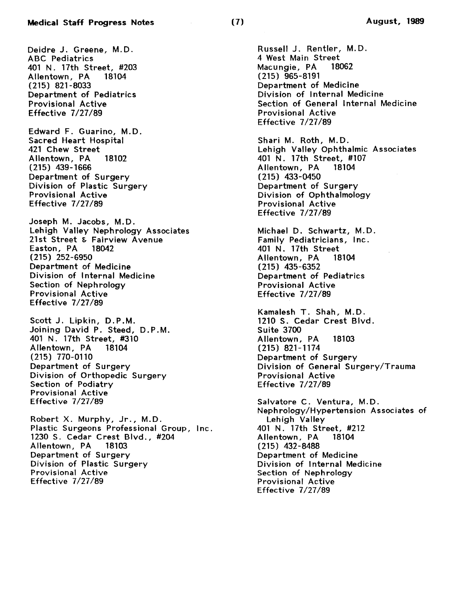Deidre J. Greene, M.D. ABC Pediatrics 401 N. 17th Street, #203<br>Allentown, PA 18104 Allentown, PA (215) 821-8033 Department of Pediatrics Provisional Active Effective 7/27/89

Edward F. Guarino, M.D. Sacred Heart Hospital 421 Chew Street Allentown, PA 18102 (215) 439-1666 Department of Surgery Division of Plastic Surgery Provisional Active Effective 7/27/89

Joseph M. Jacobs, M.D. Lehigh Valley Nephrology Associates 21st Street & Fairview Avenue<br>Easton, PA 18042 Easton, PA (215) 252-6950 Department of Medicine Division of Internal Medicine Section of Nephrology Provisional Active Effective 7/27/89

Scott J. Lipkin, D.P.M. Joining David P. Steed, D.P.M. 401 N. 17th Street, #310 Allentown, PA (215) 770-0110 Department of Surgery Division of Orthopedic Surgery Section of Podiatry Provisional Active Effective 7/27/89

Robert X. Murphy, Jr., M.D. Plastic Surgeons Professional Group, Inc. 1230 S. Cedar Crest Blvd., #204 Allentown, PA 18103 Department of Surgery Division of Plastic Surgery Provisional Active Effective 7/27/89

Russell J. Rentler, M.D. 4 West Main Street<br>Macungie, PA 18062 Macungie, PA (215) 965-8191 Department of Medicine Division of Internal Medicine Section of General Internal Medicine Provisional Active Effective 7/27/89

Shari M. Roth, M.D. Lehigh Valley Ophthalmic Associates 401 N. 17th Street, #107 Allentown, PA (215) 433-0450 Department of Surgery Division of Ophthalmology Provisional Active Effective 7/27/89

Michael D. Schwartz, M.D. Family Pediatricians, Inc. .<br>401 N. 17th Street<br>Allentown. PA 18104 Allentown, PA (215) 435-6352 Department of Pediatrics Provisional Active Effective 7/27/89

Kamalesh T. Shah, M.D. 1210 S. Cedar Crest Blvd. Suite 3700 Allentown, PA 18103 (215) 821-1174 Department of Surgery Division of General Surgery/Trauma Provisional Active Effective 7/27/89

Salvatore C. Ventura, M.D. Nephrology/Hypertension Associates of Lehigh Valley 401 N. 17th Street, #212 Allentown, PA (215) 432-8488 Department of Medicine Division of Internal Medicine Section of Nephrology Provisional Active Effective 7/27/89